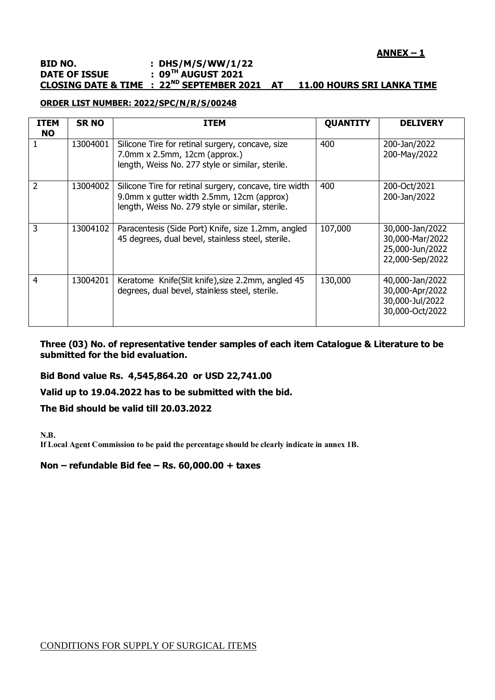# **ANNEX – 1**

## **BID NO. : DHS/M/S/WW/1/22 DATE OF ISSUE : 09TH AUGUST 2021 CLOSING DATE & TIME : 22ND SEPTEMBER 2021 AT 11.00 HOURS SRI LANKA TIME**

## **ORDER LIST NUMBER: 2022/SPC/N/R/S/00248**

| <b>ITEM</b><br><b>NO</b> | <b>SR NO</b> | <b>ITEM</b>                                                                                                                                             | <b>QUANTITY</b> | <b>DELIVERY</b>                                                          |
|--------------------------|--------------|---------------------------------------------------------------------------------------------------------------------------------------------------------|-----------------|--------------------------------------------------------------------------|
|                          | 13004001     | Silicone Tire for retinal surgery, concave, size<br>$7.0$ mm x $2.5$ mm, $12$ cm (approx.)<br>length, Weiss No. 277 style or similar, sterile.          | 400             | 200-Jan/2022<br>200-May/2022                                             |
| 2                        | 13004002     | Silicone Tire for retinal surgery, concave, tire width<br>9.0mm x gutter width 2.5mm, 12cm (approx)<br>length, Weiss No. 279 style or similar, sterile. | 400             | 200-Oct/2021<br>200-Jan/2022                                             |
| 3                        | 13004102     | Paracentesis (Side Port) Knife, size 1.2mm, angled<br>45 degrees, dual bevel, stainless steel, sterile.                                                 | 107,000         | 30,000-Jan/2022<br>30,000-Mar/2022<br>25,000-Jun/2022<br>22,000-Sep/2022 |
| $\overline{4}$           | 13004201     | Keratome Knife(Slit knife), size 2.2mm, angled 45<br>degrees, dual bevel, stainless steel, sterile.                                                     | 130,000         | 40,000-Jan/2022<br>30,000-Apr/2022<br>30,000-Jul/2022<br>30,000-Oct/2022 |

**Three (03) No. of representative tender samples of each item Catalogue & Literature to be submitted for the bid evaluation.**

## **Bid Bond value Rs. 4,545,864.20 or USD 22,741.00**

#### **Valid up to 19.04.2022 has to be submitted with the bid.**

**The Bid should be valid till 20.03.2022**

**N.B.**

**If Local Agent Commission to be paid the percentage should be clearly indicate in annex 1B.**

**Non – refundable Bid fee – Rs. 60,000.00 + taxes**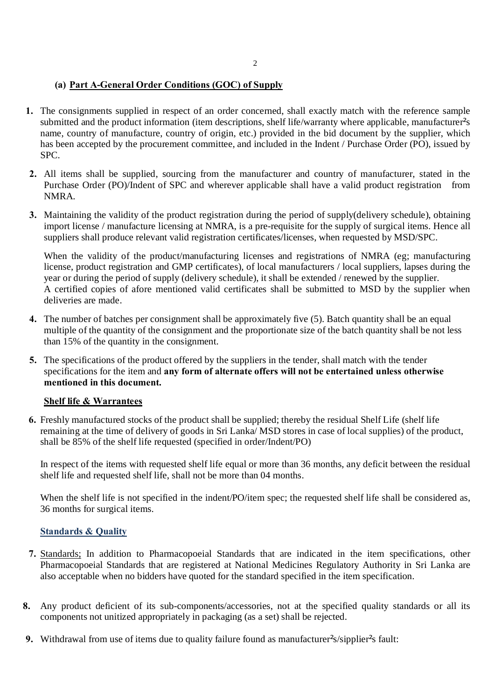# **(a) Part A-General Order Conditions (GOC) of Supply**

- **1.** The consignments supplied in respect of an order concerned, shall exactly match with the reference sample submitted and the product information (item descriptions, shelf life/warranty where applicable, manufacturer<sup>s</sup> name, country of manufacture, country of origin, etc.) provided in the bid document by the supplier, which has been accepted by the procurement committee, and included in the Indent / Purchase Order (PO), issued by SPC.
- **2.** All items shall be supplied, sourcing from the manufacturer and country of manufacturer, stated in the Purchase Order (PO)/Indent of SPC and wherever applicable shall have a valid product registration from NMRA.
- **3.** Maintaining the validity of the product registration during the period of supply(delivery schedule), obtaining import license / manufacture licensing at NMRA, is a pre-requisite for the supply of surgical items. Hence all suppliers shall produce relevant valid registration certificates/licenses, when requested by MSD/SPC.

When the validity of the product/manufacturing licenses and registrations of NMRA (eg; manufacturing license, product registration and GMP certificates), of local manufacturers / local suppliers, lapses during the year or during the period of supply (delivery schedule), it shall be extended / renewed by the supplier. A certified copies of afore mentioned valid certificates shall be submitted to MSD by the supplier when deliveries are made.

- **4.** The number of batches per consignment shall be approximately five (5). Batch quantity shall be an equal multiple of the quantity of the consignment and the proportionate size of the batch quantity shall be not less than 15% of the quantity in the consignment.
- **5.** The specifications of the product offered by the suppliers in the tender, shall match with the tender specifications for the item and **any form of alternate offers will not be entertained unless otherwise mentioned in this document.**

## **Shelf life & Warrantees**

**6.** Freshly manufactured stocks of the product shall be supplied; thereby the residual Shelf Life (shelf life remaining at the time of delivery of goods in Sri Lanka/ MSD stores in case of local supplies) of the product, shall be 85% of the shelf life requested (specified in order/Indent/PO)

In respect of the items with requested shelf life equal or more than 36 months, any deficit between the residual shelf life and requested shelf life, shall not be more than 04 months.

When the shelf life is not specified in the indent/PO/item spec; the requested shelf life shall be considered as, 36 months for surgical items.

# **Standards & Quality**

- **7.** Standards; In addition to Pharmacopoeial Standards that are indicated in the item specifications, other Pharmacopoeial Standards that are registered at National Medicines Regulatory Authority in Sri Lanka are also acceptable when no bidders have quoted for the standard specified in the item specification.
- **8.** Any product deficient of its sub-components/accessories, not at the specified quality standards or all its components not unitized appropriately in packaging (as a set) shall be rejected.
- **9.** Withdrawal from use of items due to quality failure found as manufacturer<sup>s</sup> sipplier<sup>s</sup> fault: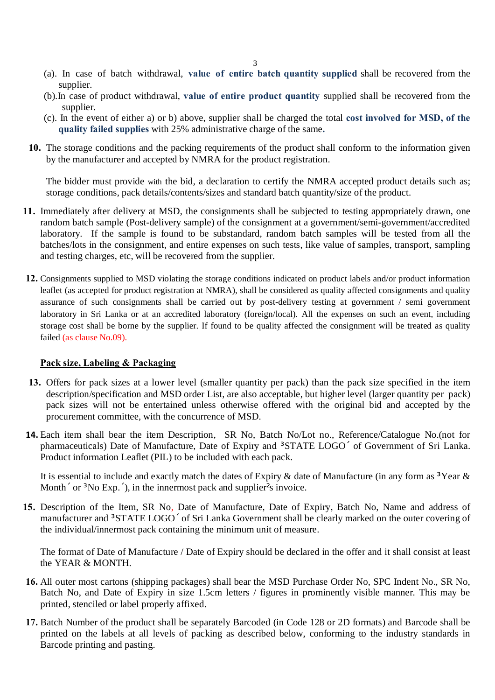- 3
- (a). In case of batch withdrawal, **value of entire batch quantity supplied** shall be recovered from the supplier.
- (b).In case of product withdrawal, **value of entire product quantity** supplied shall be recovered from the supplier.
- (c). In the event of either a) or b) above, supplier shall be charged the total **cost involved for MSD, of the quality failed supplies** with 25% administrative charge of the same**.**
- **10.** The storage conditions and the packing requirements of the product shall conform to the information given by the manufacturer and accepted by NMRA for the product registration.

The bidder must provide with the bid, a declaration to certify the NMRA accepted product details such as; storage conditions, pack details/contents/sizes and standard batch quantity/size of the product.

- **11.** Immediately after delivery at MSD, the consignments shall be subjected to testing appropriately drawn, one random batch sample (Post-delivery sample) of the consignment at a government/semi-government/accredited laboratory. If the sample is found to be substandard, random batch samples will be tested from all the batches/lots in the consignment, and entire expenses on such tests, like value of samples, transport, sampling and testing charges, etc, will be recovered from the supplier.
- **12.** Consignments supplied to MSD violating the storage conditions indicated on product labels and/or product information leaflet (as accepted for product registration at NMRA), shall be considered as quality affected consignments and quality assurance of such consignments shall be carried out by post-delivery testing at government / semi government laboratory in Sri Lanka or at an accredited laboratory (foreign/local). All the expenses on such an event, including storage cost shall be borne by the supplier. If found to be quality affected the consignment will be treated as quality failed (as clause No.09).

## **Pack size, Labeling & Packaging**

- **13.** Offers for pack sizes at a lower level (smaller quantity per pack) than the pack size specified in the item description/specification and MSD order List, are also acceptable, but higher level (larger quantity per pack) pack sizes will not be entertained unless otherwise offered with the original bid and accepted by the procurement committee, with the concurrence of MSD.
- **14.** Each item shall bear the item Description, SR No, Batch No/Lot no., Reference/Catalogue No.(not for pharmaceuticals) Date of Manufacture, Date of Expiry and  $\cdot$  STATE LOGO of Government of Sri Lanka. Product information Leaflet (PIL) to be included with each pack.

It is essential to include and exactly match the dates of Expiry & date of Manufacture (in any form as  $\cdot$  Year & Month, or  $\cdot$  No Exp., ), in the innermost pack and supplier<sup>t</sup>s invoice.

**15.** Description of the Item, SR No, Date of Manufacture, Date of Expiry, Batch No, Name and address of manufacturer and · STATE LOGO of Sri Lanka Government shall be clearly marked on the outer covering of the individual/innermost pack containing the minimum unit of measure.

The format of Date of Manufacture / Date of Expiry should be declared in the offer and it shall consist at least the YEAR & MONTH.

- **16.** All outer most cartons (shipping packages) shall bear the MSD Purchase Order No, SPC Indent No., SR No, Batch No, and Date of Expiry in size 1.5cm letters / figures in prominently visible manner. This may be printed, stenciled or label properly affixed.
- **17.** Batch Number of the product shall be separately Barcoded (in Code 128 or 2D formats) and Barcode shall be printed on the labels at all levels of packing as described below, conforming to the industry standards in Barcode printing and pasting.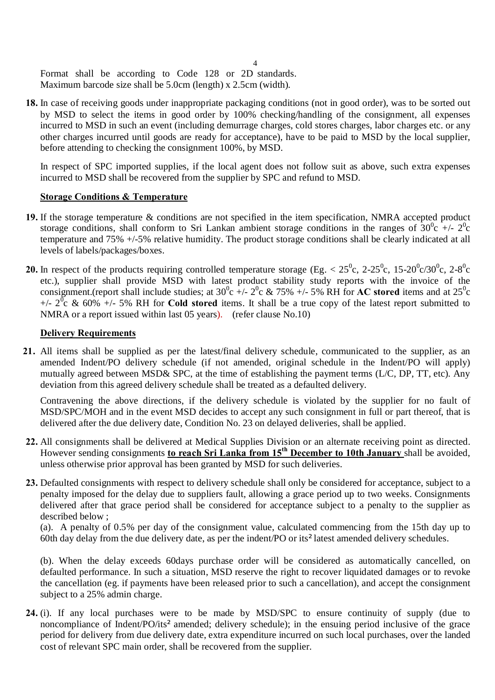Format shall be according to Code 128 or 2D standards. Maximum barcode size shall be 5.0cm (length) x 2.5cm (width).

**18.** In case of receiving goods under inappropriate packaging conditions (not in good order), was to be sorted out by MSD to select the items in good order by 100% checking/handling of the consignment, all expenses incurred to MSD in such an event (including demurrage charges, cold stores charges, labor charges etc. or any other charges incurred until goods are ready for acceptance), have to be paid to MSD by the local supplier, before attending to checking the consignment 100%, by MSD.

In respect of SPC imported supplies, if the local agent does not follow suit as above, such extra expenses incurred to MSD shall be recovered from the supplier by SPC and refund to MSD.

### **Storage Conditions & Temperature**

- **19.** If the storage temperature & conditions are not specified in the item specification, NMRA accepted product storage conditions, shall conform to Sri Lankan ambient storage conditions in the ranges of  $30^0c +12^0c$ temperature and 75% +/-5% relative humidity. The product storage conditions shall be clearly indicated at all levels of labels/packages/boxes.
- **20.** In respect of the products requiring controlled temperature storage (Eg.  $< 25^{\circ}$ c, 2-25<sup>°</sup>c, 15-20<sup>°</sup>c/30<sup>°</sup>c, 2-8<sup>°</sup>c etc.), supplier shall provide MSD with latest product stability study reports with the invoice of the consignment.(report shall include studies; at  $30^{\circ}$ c +/-  $2^{\circ}$ c & 75% +/- 5% RH for **AC stored** items and at  $25^{\circ}$ c  $+/- 2\overline{0}$ c & 60%  $+/- 5\%$  RH for **Cold stored** items. It shall be a true copy of the latest report submitted to NMRA or a report issued within last 05 years). (refer clause No.10)

### **Delivery Requirements**

**21.** All items shall be supplied as per the latest/final delivery schedule, communicated to the supplier, as an amended Indent/PO delivery schedule (if not amended, original schedule in the Indent/PO will apply) mutually agreed between MSD& SPC, at the time of establishing the payment terms (L/C, DP, TT, etc). Any deviation from this agreed delivery schedule shall be treated as a defaulted delivery.

Contravening the above directions, if the delivery schedule is violated by the supplier for no fault of MSD/SPC/MOH and in the event MSD decides to accept any such consignment in full or part thereof, that is delivered after the due delivery date, Condition No. 23 on delayed deliveries, shall be applied.

- **22.** All consignments shall be delivered at Medical Supplies Division or an alternate receiving point as directed. However sending consignments **to reach Sri Lanka from 15th December to 10th January** shall be avoided, unless otherwise prior approval has been granted by MSD for such deliveries.
- **23.** Defaulted consignments with respect to delivery schedule shall only be considered for acceptance, subject to a penalty imposed for the delay due to suppliers fault, allowing a grace period up to two weeks. Consignments delivered after that grace period shall be considered for acceptance subject to a penalty to the supplier as described below ;

(a). A penalty of 0.5% per day of the consignment value, calculated commencing from the 15th day up to 60th day delay from the due delivery date, as per the indent/PO or its¶latest amended delivery schedules.

(b). When the delay exceeds 60days purchase order will be considered as automatically cancelled, on defaulted performance. In such a situation, MSD reserve the right to recover liquidated damages or to revoke the cancellation (eg. if payments have been released prior to such a cancellation), and accept the consignment subject to a 25% admin charge.

**24.** (i). If any local purchases were to be made by MSD/SPC to ensure continuity of supply (due to noncompliance of Indent/PO/its' amended; delivery schedule); in the ensuing period inclusive of the grace period for delivery from due delivery date, extra expenditure incurred on such local purchases, over the landed cost of relevant SPC main order, shall be recovered from the supplier.

4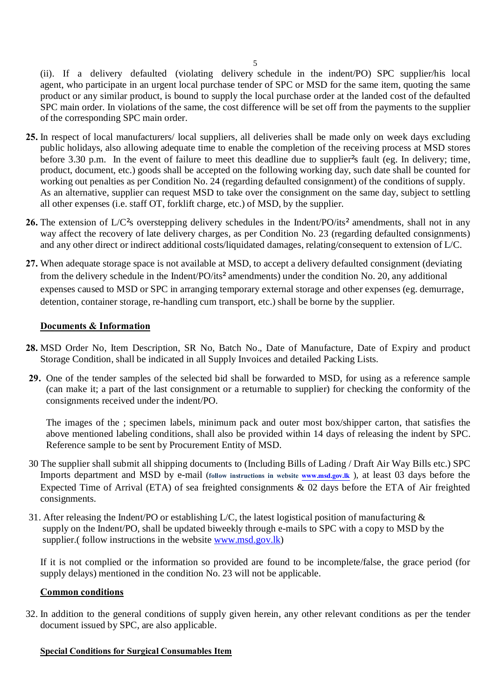(ii). If a delivery defaulted (violating delivery schedule in the indent/PO) SPC supplier/his local agent, who participate in an urgent local purchase tender of SPC or MSD for the same item, quoting the same product or any similar product, is bound to supply the local purchase order at the landed cost of the defaulted SPC main order. In violations of the same, the cost difference will be set off from the payments to the supplier of the corresponding SPC main order.

- **25.** In respect of local manufacturers/ local suppliers, all deliveries shall be made only on week days excluding public holidays, also allowing adequate time to enable the completion of the receiving process at MSD stores before 3.30 p.m. In the event of failure to meet this deadline due to supplier<sup>'</sup>s fault (eg. In delivery; time, product, document, etc.) goods shall be accepted on the following working day, such date shall be counted for working out penalties as per Condition No. 24 (regarding defaulted consignment) of the conditions of supply. As an alternative, supplier can request MSD to take over the consignment on the same day, subject to settling all other expenses (i.e. staff OT, forklift charge, etc.) of MSD, by the supplier.
- **26.** The extension of L/C<sup>'</sup>s overstepping delivery schedules in the Indent/PO/its' amendments, shall not in any way affect the recovery of late delivery charges, as per Condition No. 23 (regarding defaulted consignments) and any other direct or indirect additional costs/liquidated damages, relating/consequent to extension of L/C.
- **27.** When adequate storage space is not available at MSD, to accept a delivery defaulted consignment (deviating from the delivery schedule in the Indent/PO/its¶amendments) under the condition No. 20, any additional expenses caused to MSD or SPC in arranging temporary external storage and other expenses (eg. demurrage, detention, container storage, re-handling cum transport, etc.) shall be borne by the supplier.

### **Documents & Information**

- **28.** MSD Order No, Item Description, SR No, Batch No., Date of Manufacture, Date of Expiry and product Storage Condition, shall be indicated in all Supply Invoices and detailed Packing Lists.
- **29.** One of the tender samples of the selected bid shall be forwarded to MSD, for using as a reference sample (can make it; a part of the last consignment or a returnable to supplier) for checking the conformity of the consignments received under the indent/PO.

The images of the ; specimen labels, minimum pack and outer most box/shipper carton, that satisfies the above mentioned labeling conditions, shall also be provided within 14 days of releasing the indent by SPC. Reference sample to be sent by Procurement Entity of MSD.

- 30 The supplier shall submit all shipping documents to (Including Bills [of Lading / Dr](http://www.msd.gov.lk/)aft Air Way Bills etc.) SPC Imports department and MSD by e-mail (**follow instructions in website www.msd.gov.lk** ), at least 03 days before the Expected Time of Arrival (ETA) of sea freighted consignments & 02 days before the ETA of Air freighted consignments.
- 31. After releasing the Indent/PO or establishing  $L/C$ , the latest logistical position of manufacturing  $\&$ supply on the Indent/PO, shall be updated biweekly through e-mails to SPC with a copy to MSD by the supplier.( follow instructions in the website www.msd.gov.lk)

If it is not complied or the information so provided are found to be incomplete/false, the grace period (for supply delays) mentioned in the condition No. 23 will not be applicable.

#### **Common conditions**

32. In addition to the general conditions of supply given herein, any other relevant conditions as per the tender document issued by SPC, are also applicable.

#### **Special Conditions for Surgical Consumables Item**